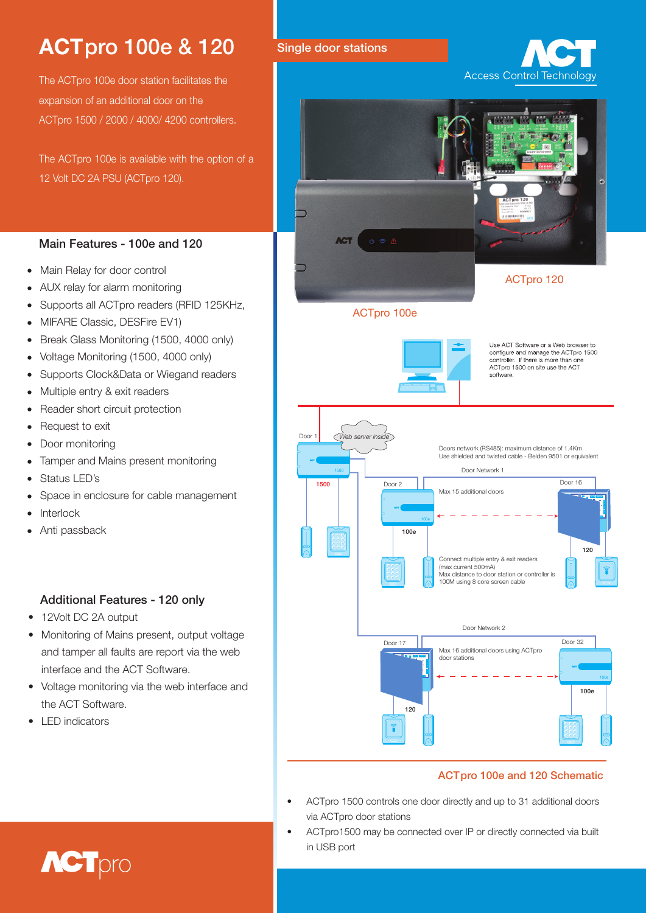# ACTpro 100e & 120 Single door stations

The ACTpro 100e door station facilitates the expansion of an additional door on the ACTpro 1500 / 2000 / 4000/ 4200 controllers.

The ACTpro 100e is available with the option of a 12 Volt DC 2A PSU (ACTpro 120).

### Main Features - 100e and 120

- Main Relay for door control
- AUX relay for alarm monitoring •
- Supports all ACTpro readers (RFID 125KHz, •
- MIFARE Classic, DESFire EV1)
- Break Glass Monitoring (1500, 4000 only) •
- Voltage Monitoring (1500, 4000 only) •
- Supports Clock&Data or Wiegand readers •
- Multiple entry & exit readers •
- Reader short circuit protection
- Request to exit •
- Door monitoring •
- Tamper and Mains present monitoring •
- Status LED's •
- Space in enclosure for cable management •
- Interlock •
- Anti passback •

### Additional Features - 120 only

- 12Volt DC 2A output
- Monitoring of Mains present, output voltage and tamper all faults are report via the web interface and the ACT Software.
- Voltage monitoring via the web interface and the ACT Software.
- LED indicators





### ACTpro 100e and 120 Schematic

- • ACTpro 1500 controls one door directly and up to 31 additional doors via ACTpro door stations
- ACTpro1500 may be connected over IP or directly connected via built in USB port